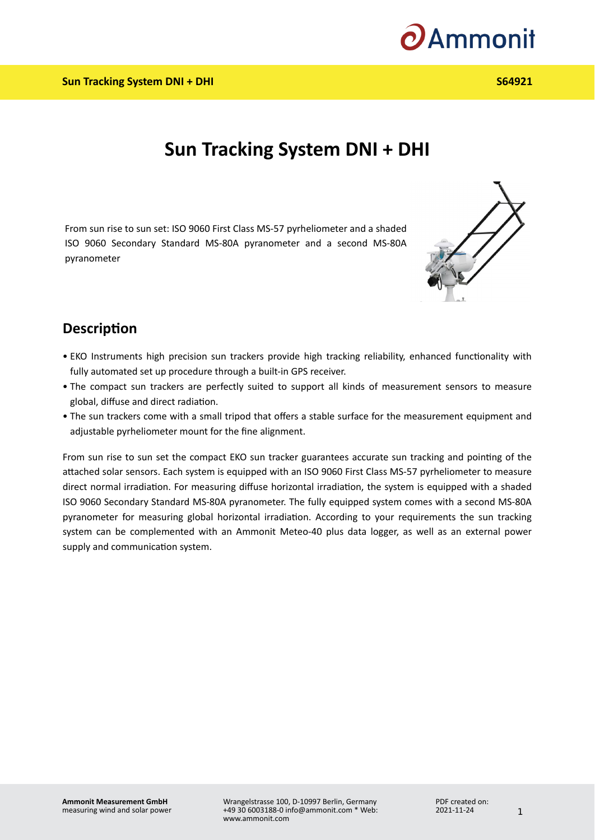

## **Sun Tracking System DNI + DHI**

From sun rise to sun set: ISO 9060 First Class MS-57 pyrheliometer and a shaded ISO 9060 Secondary Standard MS-80A pyranometer and a second MS-80A pyranometer



## **Description**

- EKO Instruments high precision sun trackers provide high tracking reliability, enhanced functionality with fully automated set up procedure through a built-in GPS receiver.
- The compact sun trackers are perfectly suited to support all kinds of measurement sensors to measure global, diffuse and direct radiation.
- The sun trackers come with a small tripod that offers a stable surface for the measurement equipment and adjustable pyrheliometer mount for the fine alignment.

From sun rise to sun set the compact EKO sun tracker guarantees accurate sun tracking and pointing of the attached solar sensors. Each system is equipped with an ISO 9060 First Class MS-57 pyrheliometer to measure direct normal irradiation. For measuring diffuse horizontal irradiation, the system is equipped with a shaded ISO 9060 Secondary Standard MS-80A pyranometer. The fully equipped system comes with a second MS-80A pyranometer for measuring global horizontal irradiation. According to your requirements the sun tracking system can be complemented with an Ammonit Meteo-40 plus data logger, as well as an external power supply and communication system.